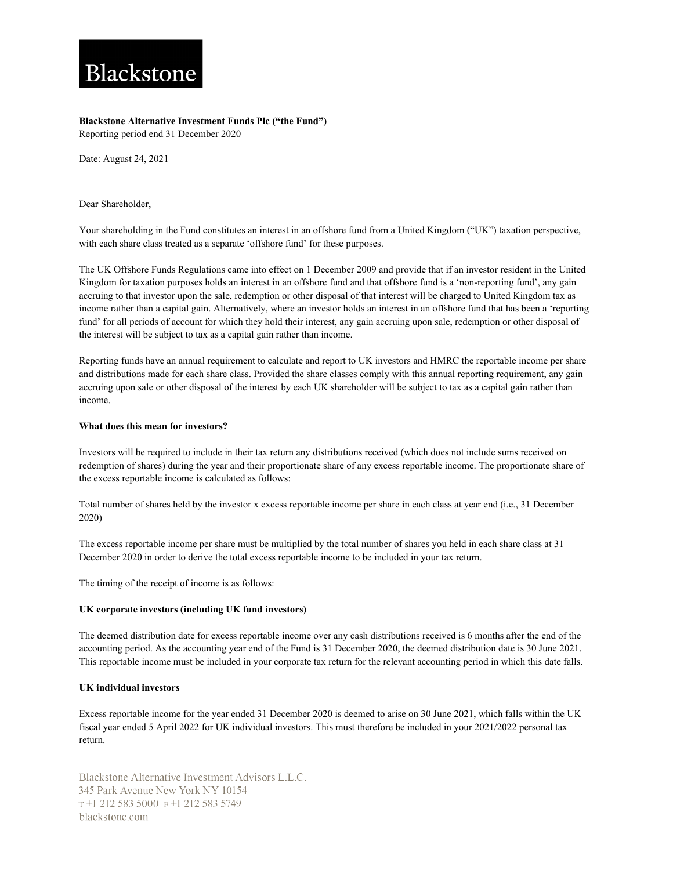# Blackstone

## **Blackstone Alternative Investment Funds Plc ("the Fund")**

Reporting period end 31 December 2020

Date: August 24, 2021

Dear Shareholder,

Your shareholding in the Fund constitutes an interest in an offshore fund from a United Kingdom ("UK") taxation perspective, with each share class treated as a separate 'offshore fund' for these purposes.

The UK Offshore Funds Regulations came into effect on 1 December 2009 and provide that if an investor resident in the United Kingdom for taxation purposes holds an interest in an offshore fund and that offshore fund is a 'non-reporting fund', any gain accruing to that investor upon the sale, redemption or other disposal of that interest will be charged to United Kingdom tax as income rather than a capital gain. Alternatively, where an investor holds an interest in an offshore fund that has been a 'reporting fund' for all periods of account for which they hold their interest, any gain accruing upon sale, redemption or other disposal of the interest will be subject to tax as a capital gain rather than income.

Reporting funds have an annual requirement to calculate and report to UK investors and HMRC the reportable income per share and distributions made for each share class. Provided the share classes comply with this annual reporting requirement, any gain accruing upon sale or other disposal of the interest by each UK shareholder will be subject to tax as a capital gain rather than income.

## **What does this mean for investors?**

Investors will be required to include in their tax return any distributions received (which does not include sums received on redemption of shares) during the year and their proportionate share of any excess reportable income. The proportionate share of the excess reportable income is calculated as follows:

Total number of shares held by the investor x excess reportable income per share in each class at year end (i.e., 31 December 2020)

The excess reportable income per share must be multiplied by the total number of shares you held in each share class at 31 December 2020 in order to derive the total excess reportable income to be included in your tax return.

The timing of the receipt of income is as follows:

## **UK corporate investors (including UK fund investors)**

The deemed distribution date for excess reportable income over any cash distributions received is 6 months after the end of the accounting period. As the accounting year end of the Fund is 31 December 2020, the deemed distribution date is 30 June 2021. This reportable income must be included in your corporate tax return for the relevant accounting period in which this date falls.

## **UK individual investors**

Excess reportable income for the year ended 31 December 2020 is deemed to arise on 30 June 2021, which falls within the UK fiscal year ended 5 April 2022 for UK individual investors. This must therefore be included in your 2021/2022 personal tax return.

Blackstone Alternative Investment Advisors L.L.C. 345 Park Avenue New York NY 10154 T+1 212 583 5000 F+1 212 583 5749 blackstone.com